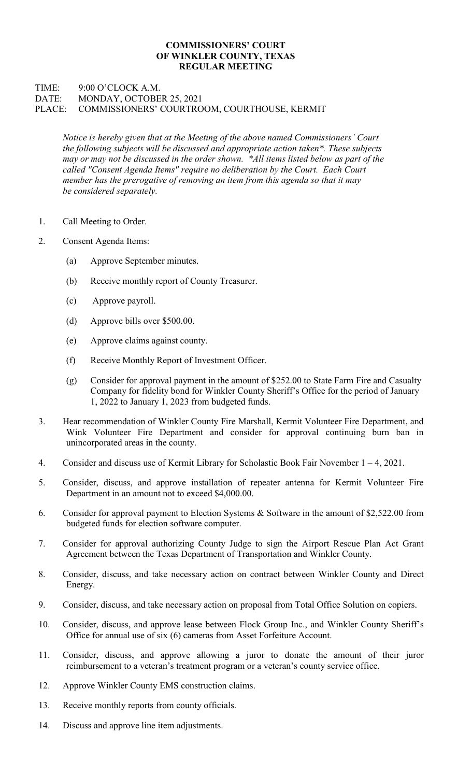## COMMISSIONERS' COURT OF WINKLER COUNTY, TEXAS REGULAR MEETING

## TIME: 9:00 O'CLOCK A.M. DATE: MONDAY, OCTOBER 25, 2021 PLACE: COMMISSIONERS' COURTROOM, COURTHOUSE, KERMIT

Notice is hereby given that at the Meeting of the above named Commissioners' Court the following subjects will be discussed and appropriate action taken\*. These subjects may or may not be discussed in the order shown. \*All items listed below as part of the called "Consent Agenda Items" require no deliberation by the Court. Each Court member has the prerogative of removing an item from this agenda so that it may be considered separately.

- 1. Call Meeting to Order.
- 2. Consent Agenda Items:
	- (a) Approve September minutes.
	- (b) Receive monthly report of County Treasurer.
	- (c) Approve payroll.
	- (d) Approve bills over \$500.00.
	- (e) Approve claims against county.
	- (f) Receive Monthly Report of Investment Officer.
	- (g) Consider for approval payment in the amount of \$252.00 to State Farm Fire and Casualty Company for fidelity bond for Winkler County Sheriff's Office for the period of January 1, 2022 to January 1, 2023 from budgeted funds.
- 3. Hear recommendation of Winkler County Fire Marshall, Kermit Volunteer Fire Department, and Wink Volunteer Fire Department and consider for approval continuing burn ban in unincorporated areas in the county.
- 4. Consider and discuss use of Kermit Library for Scholastic Book Fair November 1 4, 2021.
- 5. Consider, discuss, and approve installation of repeater antenna for Kermit Volunteer Fire Department in an amount not to exceed \$4,000.00.
- 6. Consider for approval payment to Election Systems & Software in the amount of \$2,522.00 from budgeted funds for election software computer.
- 7. Consider for approval authorizing County Judge to sign the Airport Rescue Plan Act Grant Agreement between the Texas Department of Transportation and Winkler County.
- 8. Consider, discuss, and take necessary action on contract between Winkler County and Direct Energy.
- 9. Consider, discuss, and take necessary action on proposal from Total Office Solution on copiers.
- 10. Consider, discuss, and approve lease between Flock Group Inc., and Winkler County Sheriff's Office for annual use of six (6) cameras from Asset Forfeiture Account.
- 11. Consider, discuss, and approve allowing a juror to donate the amount of their juror reimbursement to a veteran's treatment program or a veteran's county service office.
- 12. Approve Winkler County EMS construction claims.
- 13. Receive monthly reports from county officials.
- 14. Discuss and approve line item adjustments.